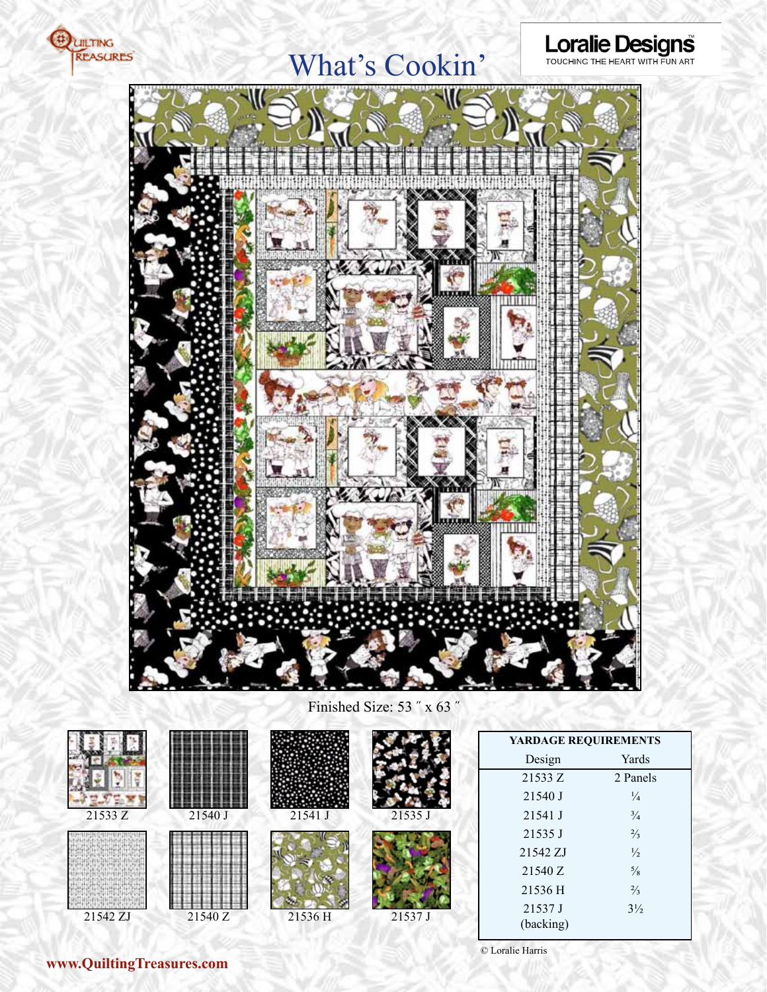

## What's Cookin'





Finished Size: 53 ˝ x 63 ˝



### **www.QuiltingTreasures.com**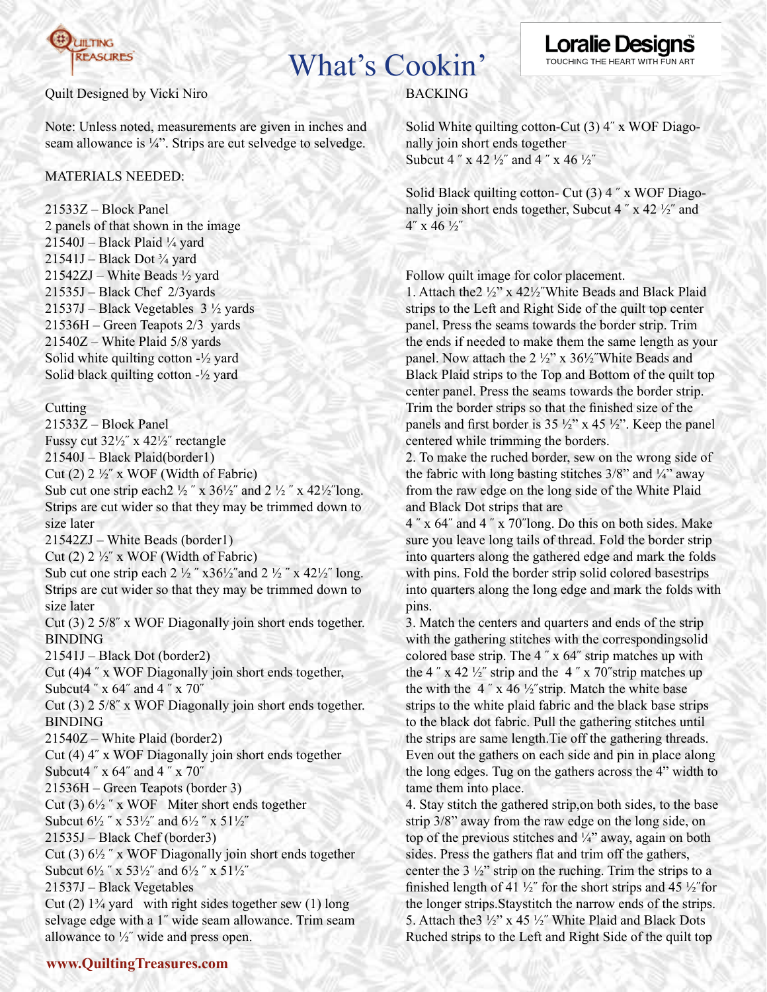

## What's Cookin'

### Quilt Designed by Vicki Niro

Note: Unless noted, measurements are given in inches and seam allowance is ¼". Strips are cut selvedge to selvedge.

### MATERIALS NEEDED:

21533Z – Block Panel 2 panels of that shown in the image  $21540J - Black Plaid$  ¼ yard  $21541J - Black Dot \frac{3}{4}$  yard 21542ZJ – White Beads ½ yard 21535J – Black Chef 2/3yards 21537J – Black Vegetables 3 ½ yards 21536H – Green Teapots 2/3 yards 21540Z – White Plaid 5/8 yards Solid white quilting cotton  $-\frac{1}{2}$  yard Solid black quilting cotton  $-\frac{1}{2}$  yard

### **Cutting**

21533Z – Block Panel Fussy cut 32½˝ x 42½˝ rectangle 21540J – Black Plaid(border1) Cut (2)  $2\frac{1}{2}$ " x WOF (Width of Fabric) Sub cut one strip each  $2\frac{1}{2}$  " x  $36\frac{1}{2}$ " and  $2\frac{1}{2}$  " x  $42\frac{1}{2}$ " long. Strips are cut wider so that they may be trimmed down to size later 21542ZJ – White Beads (border1) Cut (2)  $2\frac{1}{2}$  x WOF (Width of Fabric) Sub cut one strip each  $2\frac{1}{2}$  "  $x\frac{36}{2}$ " and  $2\frac{1}{2}$  "  $x\frac{42}{2}$ " long. Strips are cut wider so that they may be trimmed down to size later Cut (3) 2 5/8˝ x WOF Diagonally join short ends together. BINDING 21541J – Black Dot (border2) Cut (4)4 ˝ x WOF Diagonally join short ends together, Subcut4 ˝ x 64˝ and 4 ˝ x 70˝ Cut (3) 2 5/8˝ x WOF Diagonally join short ends together. BINDING 21540Z – White Plaid (border2) Cut (4) 4˝ x WOF Diagonally join short ends together Subcut4 ˝ x 64˝ and 4 ˝ x 70˝ 21536H – Green Teapots (border 3) Cut (3)  $6\frac{1}{2}$  " x WOF Miter short ends together Subcut  $6\frac{1}{2}$  " x  $53\frac{1}{2}$ " and  $6\frac{1}{2}$  " x  $51\frac{1}{2}$ " 21535J – Black Chef (border3) Cut (3)  $6\frac{1}{2}$  " x WOF Diagonally join short ends together Subcut  $6\frac{1}{2}$  " x  $53\frac{1}{2}$ " and  $6\frac{1}{2}$  " x  $51\frac{1}{2}$ " 21537J – Black Vegetables Cut  $(2)$  1<sup>3</sup>/<sub>4</sub> yard with right sides together sew  $(1)$  long selvage edge with a 1˝ wide seam allowance. Trim seam allowance to  $\frac{1}{2}$ " wide and press open.

## BACKING

Solid White quilting cotton-Cut (3) 4˝ x WOF Diagonally join short ends together Subcut 4  $x$  x 42  $\frac{1}{2}$  and 4  $x$  x 46  $\frac{1}{2}$ 

Solid Black quilting cotton- Cut (3) 4 ˝ x WOF Diagonally join short ends together, Subcut  $4''$  x  $42\frac{1}{2}$  and 4˝ x 46 ½˝

Follow quilt image for color placement.

1. Attach the2 ½" x 42½˝White Beads and Black Plaid strips to the Left and Right Side of the quilt top center panel. Press the seams towards the border strip. Trim the ends if needed to make them the same length as your panel. Now attach the 2 ½" x 36½˝White Beads and Black Plaid strips to the Top and Bottom of the quilt top center panel. Press the seams towards the border strip. Trim the border strips so that the finished size of the panels and first border is 35  $\frac{1}{2}$ " x 45  $\frac{1}{2}$ ". Keep the panel centered while trimming the borders.

2. To make the ruched border, sew on the wrong side of the fabric with long basting stitches  $3/8$ " and  $\frac{1}{4}$ " away from the raw edge on the long side of the White Plaid and Black Dot strips that are

4 ˝ x 64˝ and 4 ˝ x 70˝long. Do this on both sides. Make sure you leave long tails of thread. Fold the border strip into quarters along the gathered edge and mark the folds with pins. Fold the border strip solid colored basestrips into quarters along the long edge and mark the folds with pins.

3. Match the centers and quarters and ends of the strip with the gathering stitches with the correspondingsolid colored base strip. The 4 ˝ x 64˝ strip matches up with the 4  $\degree$  x 42  $\frac{1}{2}$  strip and the 4  $\degree$  x 70 $\degree$ strip matches up the with the 4" x 46  $\frac{1}{2}$ " strip. Match the white base strips to the white plaid fabric and the black base strips to the black dot fabric. Pull the gathering stitches until the strips are same length.Tie off the gathering threads. Even out the gathers on each side and pin in place along the long edges. Tug on the gathers across the 4" width to tame them into place.

4. Stay stitch the gathered strip,on both sides, to the base strip 3/8" away from the raw edge on the long side, on top of the previous stitches and  $\frac{1}{4}$ " away, again on both sides. Press the gathers flat and trim off the gathers, center the  $3\frac{1}{2}$ " strip on the ruching. Trim the strips to a finished length of 41  $\frac{1}{2}$ " for the short strips and 45  $\frac{1}{2}$ " for the longer strips.Staystitch the narrow ends of the strips. 5. Attach the3 ½" x 45 ½˝ White Plaid and Black Dots Ruched strips to the Left and Right Side of the quilt top

## **Loralie Des** TOUCHING THE HEART WITH FUN ART

## **www.QuiltingTreasures.com**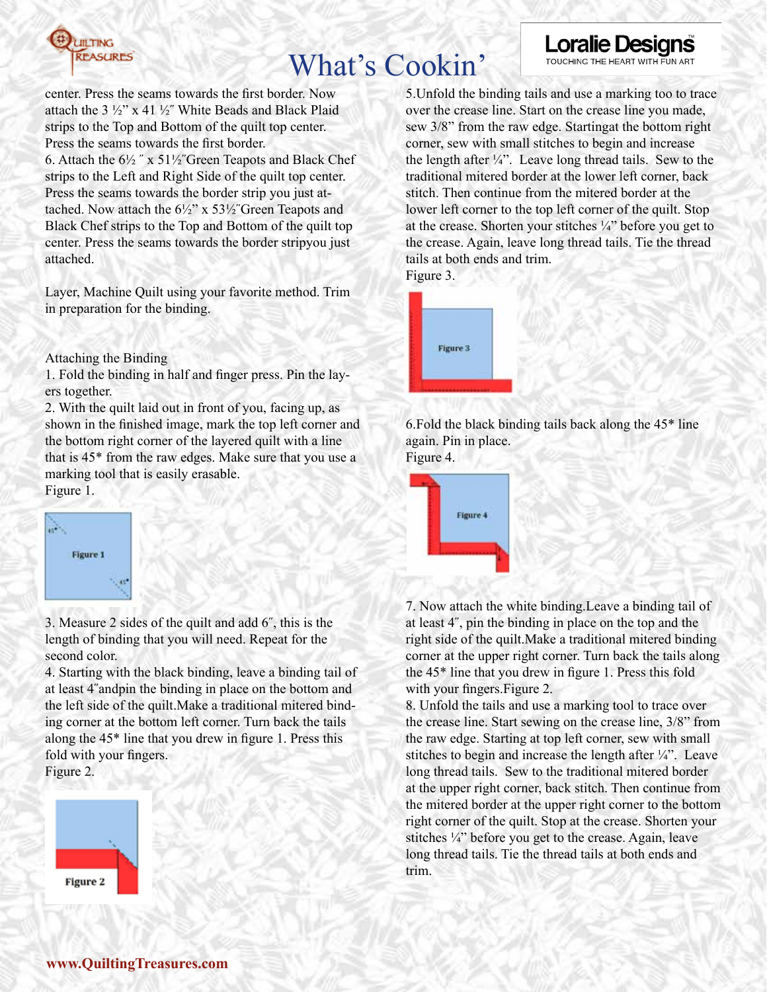

# What's Cookin'

center. Press the seams towards the first border. Now attach the  $3\frac{1}{2}$ " x 41  $\frac{1}{2}$ " White Beads and Black Plaid strips to the Top and Bottom of the quilt top center. Press the seams towards the first border.

6. Attach the  $6\frac{1}{2}$  " x  $51\frac{1}{2}$ " Green Teapots and Black Chef strips to the Left and Right Side of the quilt top center. Press the seams towards the border strip you just attached. Now attach the  $6\frac{1}{2}$ " x  $53\frac{1}{2}$ " Green Teapots and Black Chef strips to the Top and Bottom of the quilt top center. Press the seams towards the border stripyou just attached.

Layer, Machine Quilt using your favorite method. Trim in preparation for the binding.

Attaching the Binding

1. Fold the binding in half and finger press. Pin the layers together.

2. With the quilt laid out in front of you, facing up, as shown in the finished image, mark the top left corner and the bottom right corner of the layered quilt with a line that is 45\* from the raw edges. Make sure that you use a marking tool that is easily erasable. Figure 1.



3. Measure 2 sides of the quilt and add 6˝, this is the length of binding that you will need. Repeat for the second color.

4. Starting with the black binding, leave a binding tail of at least 4˝andpin the binding in place on the bottom and the left side of the quilt.Make a traditional mitered binding corner at the bottom left corner. Turn back the tails along the 45\* line that you drew in figure 1. Press this fold with your fingers.

Figure 2.



5.Unfold the binding tails and use a marking too to trace over the crease line. Start on the crease line you made, sew 3/8" from the raw edge. Startingat the bottom right corner, sew with small stitches to begin and increase the length after  $\frac{1}{4}$ . Leave long thread tails. Sew to the traditional mitered border at the lower left corner, back stitch. Then continue from the mitered border at the lower left corner to the top left corner of the quilt. Stop at the crease. Shorten your stitches ¼" before you get to the crease. Again, leave long thread tails. Tie the thread tails at both ends and trim. Figure 3.

**Loralie Desig** 

TOUCHING THE HEART WITH FUN ART

Figure 3

6.Fold the black binding tails back along the 45\* line again. Pin in place.

Figure 4.



7. Now attach the white binding.Leave a binding tail of at least 4˝, pin the binding in place on the top and the right side of the quilt.Make a traditional mitered binding corner at the upper right corner. Turn back the tails along the 45\* line that you drew in figure 1. Press this fold with your fingers.Figure 2.

8. Unfold the tails and use a marking tool to trace over the crease line. Start sewing on the crease line, 3/8" from the raw edge. Starting at top left corner, sew with small stitches to begin and increase the length after  $\frac{1}{4}$ . Leave long thread tails. Sew to the traditional mitered border at the upper right corner, back stitch. Then continue from the mitered border at the upper right corner to the bottom right corner of the quilt. Stop at the crease. Shorten your stitches ¼" before you get to the crease. Again, leave long thread tails. Tie the thread tails at both ends and trim.